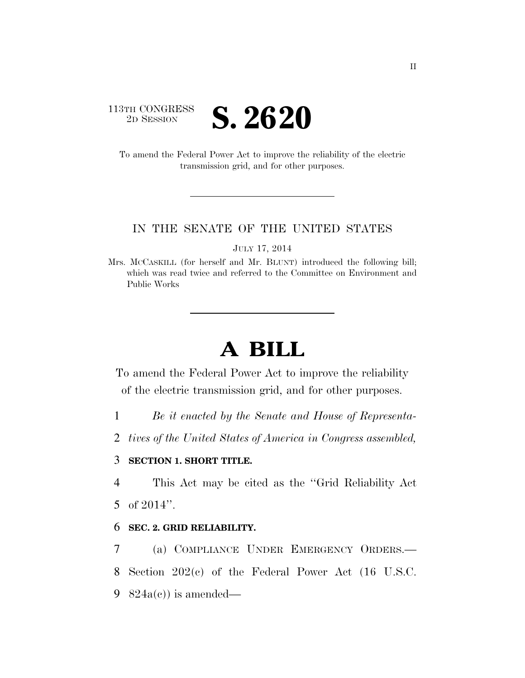## 113TH CONGRESS **2D SESSION S. 2620**

To amend the Federal Power Act to improve the reliability of the electric transmission grid, and for other purposes.

#### IN THE SENATE OF THE UNITED STATES

JULY 17, 2014

Mrs. MCCASKILL (for herself and Mr. BLUNT) introduced the following bill; which was read twice and referred to the Committee on Environment and Public Works

# **A BILL**

To amend the Federal Power Act to improve the reliability of the electric transmission grid, and for other purposes.

1 *Be it enacted by the Senate and House of Representa-*

2 *tives of the United States of America in Congress assembled,* 

### 3 **SECTION 1. SHORT TITLE.**

4 This Act may be cited as the ''Grid Reliability Act 5 of 2014''.

### 6 **SEC. 2. GRID RELIABILITY.**

7 (a) COMPLIANCE UNDER EMERGENCY ORDERS.— 8 Section 202(c) of the Federal Power Act (16 U.S.C. 9 824a(c)) is amended—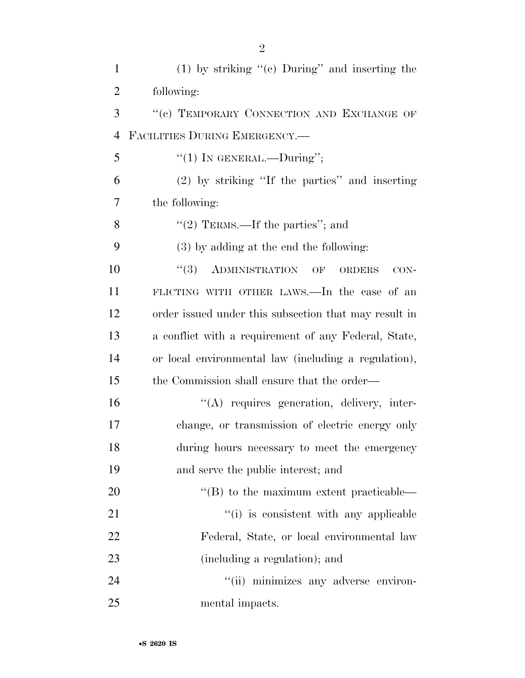| $\mathbf{1}$   | $(1)$ by striking "(c) During" and inserting the                             |
|----------------|------------------------------------------------------------------------------|
| $\overline{2}$ | following:                                                                   |
| 3              | "(c) TEMPORARY CONNECTION AND EXCHANGE OF                                    |
| $\overline{4}$ | FACILITIES DURING EMERGENCY.-                                                |
| 5              | "(1) IN GENERAL.—During";                                                    |
| 6              | (2) by striking "If the parties" and inserting                               |
| 7              | the following:                                                               |
| 8              | "(2) TERMS.—If the parties"; and                                             |
| 9              | $(3)$ by adding at the end the following:                                    |
| 10             | $\lq(3)$ ADMINISTRATION<br>$\overline{\text{OF}}$<br><b>ORDERS</b><br>$CON-$ |
| 11             | FLICTING WITH OTHER LAWS.—In the case of an                                  |
| 12             | order issued under this subsection that may result in                        |
| 13             | a conflict with a requirement of any Federal, State,                         |
| 14             | or local environmental law (including a regulation),                         |
| 15             | the Commission shall ensure that the order—                                  |
| 16             | "(A) requires generation, delivery, inter-                                   |
| 17             | change, or transmission of electric energy only                              |
| 18             | during hours necessary to meet the emergency                                 |
| 19             | and serve the public interest; and                                           |
| 20             | $\lq\lq (B)$ to the maximum extent practicable—                              |
| 21             | "(i) is consistent with any applicable                                       |
| 22             | Federal, State, or local environmental law                                   |
| 23             | (including a regulation); and                                                |
| 24             | "(ii) minimizes any adverse environ-                                         |
| 25             | mental impacts.                                                              |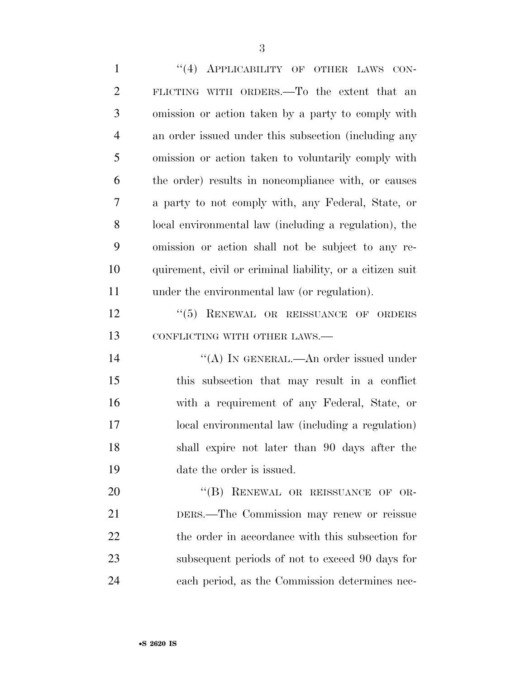1 "(4) APPLICABILITY OF OTHER LAWS CON- FLICTING WITH ORDERS.—To the extent that an omission or action taken by a party to comply with an order issued under this subsection (including any omission or action taken to voluntarily comply with the order) results in noncompliance with, or causes a party to not comply with, any Federal, State, or local environmental law (including a regulation), the omission or action shall not be subject to any re- quirement, civil or criminal liability, or a citizen suit under the environmental law (or regulation). 12 "(5) RENEWAL OR REISSUANCE OF ORDERS 13 CONFLICTING WITH OTHER LAWS.— 14 "(A) In GENERAL.—An order issued under this subsection that may result in a conflict with a requirement of any Federal, State, or local environmental law (including a regulation) shall expire not later than 90 days after the date the order is issued. 20 "(B) RENEWAL OR REISSUANCE OF OR- DERS.—The Commission may renew or reissue the order in accordance with this subsection for subsequent periods of not to exceed 90 days for each period, as the Commission determines nec-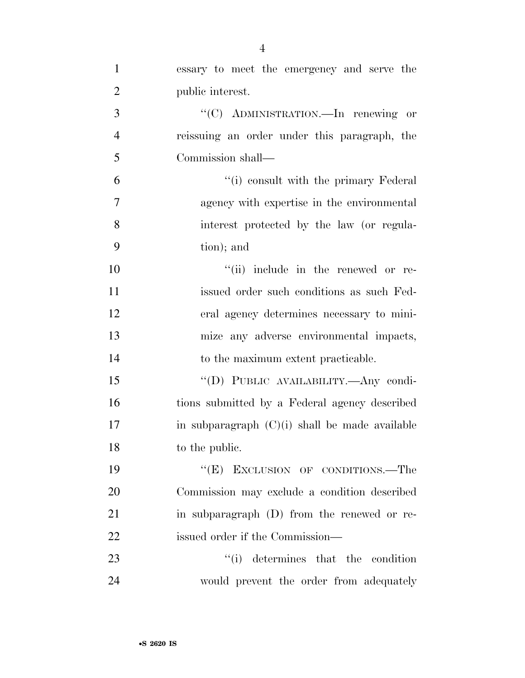| $\mathbf{1}$   | essary to meet the emergency and serve the       |
|----------------|--------------------------------------------------|
| $\overline{2}$ | public interest.                                 |
| 3              | "(C) ADMINISTRATION.—In renewing or              |
| $\overline{4}$ | reissuing an order under this paragraph, the     |
| 5              | Commission shall—                                |
| 6              | "(i) consult with the primary Federal            |
| 7              | agency with expertise in the environmental       |
| 8              | interest protected by the law (or regula-        |
| 9              | tion); and                                       |
| 10             | "(ii) include in the renewed or re-              |
| 11             | issued order such conditions as such Fed-        |
| 12             | eral agency determines necessary to mini-        |
| 13             | mize any adverse environmental impacts,          |
| 14             | to the maximum extent practicable.               |
| 15             | "(D) PUBLIC AVAILABILITY.- Any condi-            |
| 16             | tions submitted by a Federal agency described    |
| 17             | in subparagraph $(C)(i)$ shall be made available |
| 18             | to the public.                                   |
| 19             | "(E) EXCLUSION OF CONDITIONS.—The                |
| 20             | Commission may exclude a condition described     |
| 21             | in subparagraph (D) from the renewed or re-      |
| 22             | issued order if the Commission-                  |
| 23             | ``(i)<br>determines that the condition           |
| 24             | would prevent the order from adequately          |